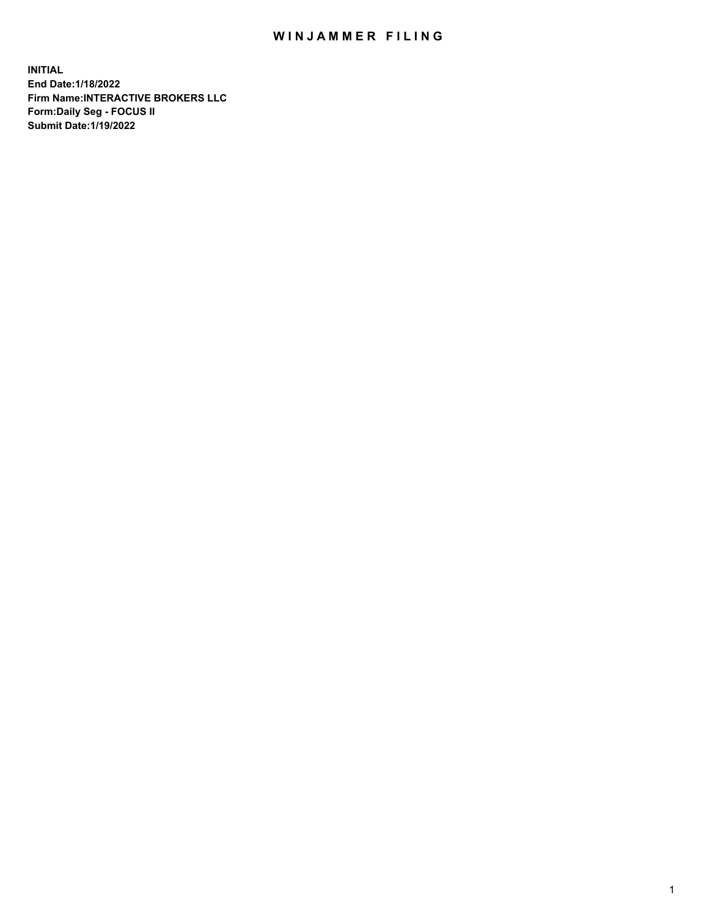## WIN JAMMER FILING

**INITIAL End Date:1/18/2022 Firm Name:INTERACTIVE BROKERS LLC Form:Daily Seg - FOCUS II Submit Date:1/19/2022**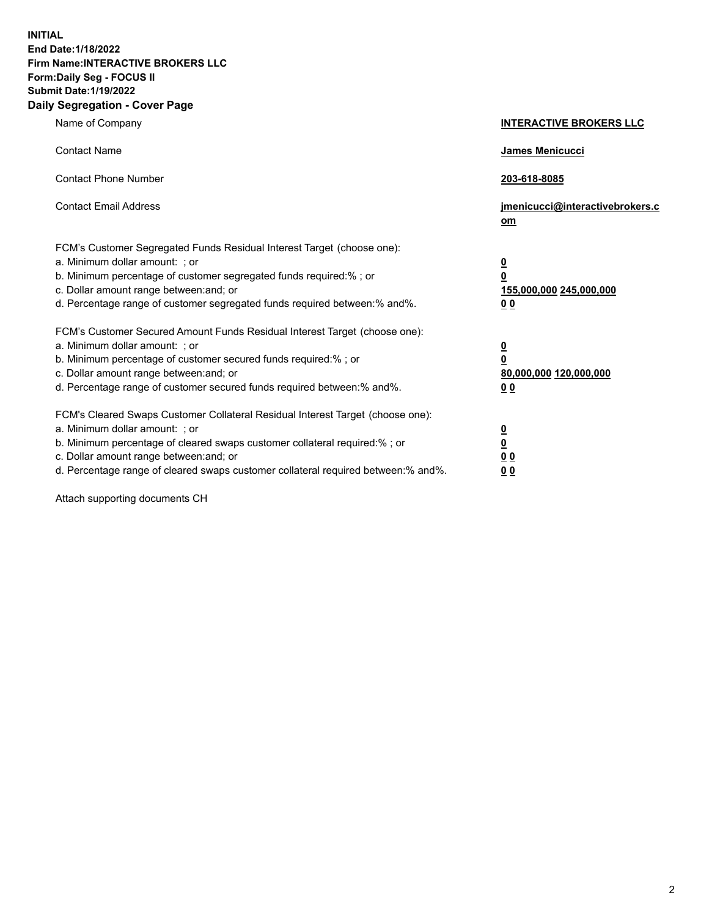**INITIAL End Date:1/18/2022 Firm Name:INTERACTIVE BROKERS LLC Form:Daily Seg - FOCUS II Submit Date:1/19/2022 Daily Segregation - Cover Page**

| Name of Company                                                                                                                                                                                                                                                                                                               | <b>INTERACTIVE BROKERS LLC</b>                                                                  |  |
|-------------------------------------------------------------------------------------------------------------------------------------------------------------------------------------------------------------------------------------------------------------------------------------------------------------------------------|-------------------------------------------------------------------------------------------------|--|
| <b>Contact Name</b>                                                                                                                                                                                                                                                                                                           | James Menicucci                                                                                 |  |
| <b>Contact Phone Number</b>                                                                                                                                                                                                                                                                                                   | 203-618-8085                                                                                    |  |
| <b>Contact Email Address</b>                                                                                                                                                                                                                                                                                                  | jmenicucci@interactivebrokers.c<br><u>om</u>                                                    |  |
| FCM's Customer Segregated Funds Residual Interest Target (choose one):<br>a. Minimum dollar amount: ; or<br>b. Minimum percentage of customer segregated funds required:% ; or<br>c. Dollar amount range between: and; or<br>d. Percentage range of customer segregated funds required between:% and%.                        | $\overline{\mathbf{0}}$<br>$\overline{\mathbf{0}}$<br>155,000,000 245,000,000<br>0 <sub>0</sub> |  |
| FCM's Customer Secured Amount Funds Residual Interest Target (choose one):<br>a. Minimum dollar amount: ; or<br>b. Minimum percentage of customer secured funds required:%; or<br>c. Dollar amount range between: and; or<br>d. Percentage range of customer secured funds required between:% and%.                           | $\overline{\mathbf{0}}$<br>$\overline{\mathbf{0}}$<br>80,000,000 120,000,000<br>0 <sub>0</sub>  |  |
| FCM's Cleared Swaps Customer Collateral Residual Interest Target (choose one):<br>a. Minimum dollar amount: ; or<br>b. Minimum percentage of cleared swaps customer collateral required:%; or<br>c. Dollar amount range between: and; or<br>d. Percentage range of cleared swaps customer collateral required between:% and%. | $\overline{\mathbf{0}}$<br>$\overline{\mathbf{0}}$<br>0 <sub>0</sub><br>0 <sub>0</sub>          |  |

Attach supporting documents CH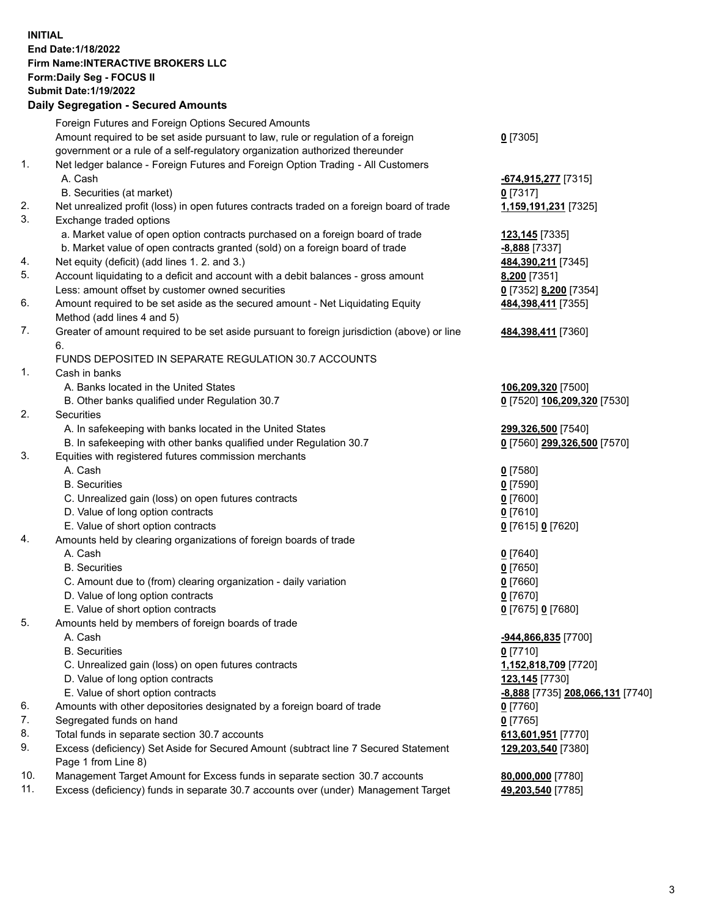**INITIAL End Date:1/18/2022 Firm Name:INTERACTIVE BROKERS LLC Form:Daily Seg - FOCUS II Submit Date:1/19/2022 Daily Segregation - Secured Amounts**

## Foreign Futures and Foreign Options Secured Amounts Amount required to be set aside pursuant to law, rule or regulation of a foreign government or a rule of a self-regulatory organization authorized thereunder **0** [7305] 1. Net ledger balance - Foreign Futures and Foreign Option Trading - All Customers A. Cash **-674,915,277** [7315] B. Securities (at market) **0** [7317] 2. Net unrealized profit (loss) in open futures contracts traded on a foreign board of trade **1,159,191,231** [7325] 3. Exchange traded options a. Market value of open option contracts purchased on a foreign board of trade **123,145** [7335] b. Market value of open contracts granted (sold) on a foreign board of trade **-8,888** [7337] 4. Net equity (deficit) (add lines 1. 2. and 3.) **484,390,211** [7345] 5. Account liquidating to a deficit and account with a debit balances - gross amount **8,200** [7351] Less: amount offset by customer owned securities **0** [7352] **8,200** [7354] 6. Amount required to be set aside as the secured amount - Net Liquidating Equity Method (add lines 4 and 5) **484,398,411** [7355] 7. Greater of amount required to be set aside pursuant to foreign jurisdiction (above) or line 6. **484,398,411** [7360] FUNDS DEPOSITED IN SEPARATE REGULATION 30.7 ACCOUNTS 1. Cash in banks A. Banks located in the United States **106,209,320** [7500] B. Other banks qualified under Regulation 30.7 **0** [7520] **106,209,320** [7530] 2. Securities A. In safekeeping with banks located in the United States **299,326,500** [7540] B. In safekeeping with other banks qualified under Regulation 30.7 **0** [7560] **299,326,500** [7570] 3. Equities with registered futures commission merchants A. Cash **0** [7580] B. Securities **0** [7590] C. Unrealized gain (loss) on open futures contracts **0** [7600] D. Value of long option contracts **0** [7610] E. Value of short option contracts **0** [7615] **0** [7620] 4. Amounts held by clearing organizations of foreign boards of trade A. Cash **0** [7640] B. Securities **0** [7650] C. Amount due to (from) clearing organization - daily variation **0** [7660] D. Value of long option contracts **0** [7670] E. Value of short option contracts **0** [7675] **0** [7680] 5. Amounts held by members of foreign boards of trade A. Cash **-944,866,835** [7700] B. Securities **0** [7710] C. Unrealized gain (loss) on open futures contracts **1,152,818,709** [7720] D. Value of long option contracts **123,145** [7730] E. Value of short option contracts **-8,888** [7735] **208,066,131** [7740] 6. Amounts with other depositories designated by a foreign board of trade **0** [7760] 7. Segregated funds on hand **0** [7765] 8. Total funds in separate section 30.7 accounts **613,601,951** [7770] 9. Excess (deficiency) Set Aside for Secured Amount (subtract line 7 Secured Statement Page 1 from Line 8) **129,203,540** [7380] 10. Management Target Amount for Excess funds in separate section 30.7 accounts **80,000,000** [7780] 11. Excess (deficiency) funds in separate 30.7 accounts over (under) Management Target **49,203,540** [7785]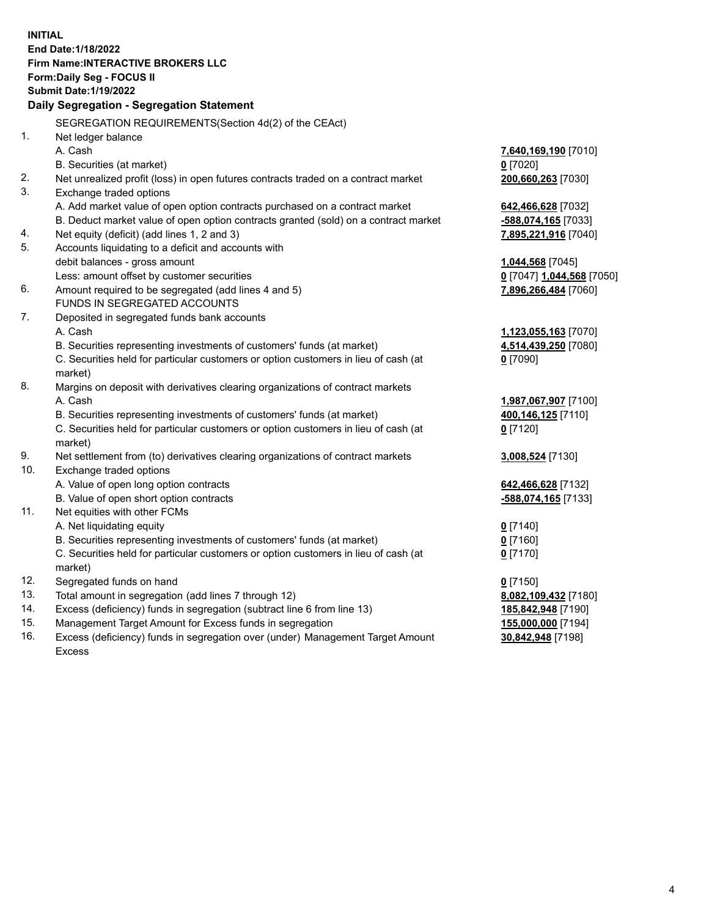**INITIAL End Date:1/18/2022 Firm Name:INTERACTIVE BROKERS LLC Form:Daily Seg - FOCUS II Submit Date:1/19/2022 Daily Segregation - Segregation Statement** SEGREGATION REQUIREMENTS(Section 4d(2) of the CEAct) 1. Net ledger balance A. Cash **7,640,169,190** [7010] B. Securities (at market) **0** [7020] 2. Net unrealized profit (loss) in open futures contracts traded on a contract market **200,660,263** [7030] 3. Exchange traded options A. Add market value of open option contracts purchased on a contract market **642,466,628** [7032] B. Deduct market value of open option contracts granted (sold) on a contract market **-588,074,165** [7033] 4. Net equity (deficit) (add lines 1, 2 and 3) **7,895,221,916** [7040] 5. Accounts liquidating to a deficit and accounts with debit balances - gross amount **1,044,568** [7045] Less: amount offset by customer securities **0** [7047] **1,044,568** [7050] 6. Amount required to be segregated (add lines 4 and 5) **7,896,266,484** [7060] FUNDS IN SEGREGATED ACCOUNTS 7. Deposited in segregated funds bank accounts A. Cash **1,123,055,163** [7070] B. Securities representing investments of customers' funds (at market) **4,514,439,250** [7080] C. Securities held for particular customers or option customers in lieu of cash (at market) **0** [7090] 8. Margins on deposit with derivatives clearing organizations of contract markets A. Cash **1,987,067,907** [7100] B. Securities representing investments of customers' funds (at market) **400,146,125** [7110] C. Securities held for particular customers or option customers in lieu of cash (at market) **0** [7120] 9. Net settlement from (to) derivatives clearing organizations of contract markets **3,008,524** [7130] 10. Exchange traded options A. Value of open long option contracts **642,466,628** [7132] B. Value of open short option contracts **-588,074,165** [7133] 11. Net equities with other FCMs A. Net liquidating equity **0** [7140] B. Securities representing investments of customers' funds (at market) **0** [7160] C. Securities held for particular customers or option customers in lieu of cash (at market) **0** [7170] 12. Segregated funds on hand **0** [7150] 13. Total amount in segregation (add lines 7 through 12) **8,082,109,432** [7180] 14. Excess (deficiency) funds in segregation (subtract line 6 from line 13) **185,842,948** [7190] 15. Management Target Amount for Excess funds in segregation **155,000,000** [7194]

16. Excess (deficiency) funds in segregation over (under) Management Target Amount Excess

**30,842,948** [7198]